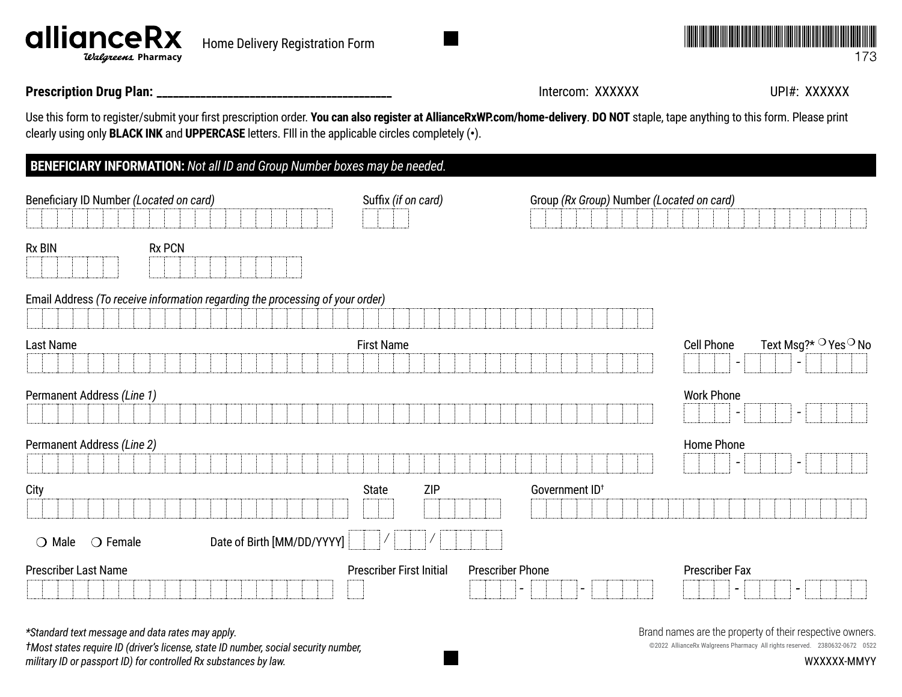**Prescription Drug Plan: \_\_\_\_\_\_\_\_\_\_\_\_\_\_\_\_\_\_\_\_\_\_\_\_\_\_\_\_\_\_\_\_\_\_\_\_\_\_\_\_\_\_\_** Intercom: XXXXXX UPI#: XXXXXX

Use this form to register/submit your first prescription order. **You can also register a[t AllianceRxWP.com/home-delivery](http://AllianceRxWP.com/home-delivery)**. **DO NOT** staple, tape anything to this form. Please print clearly using only **BLACK INK** and **UPPERCASE** letters. FIll in the applicable circles completely (**•**).

| <b>BENEFICIARY INFORMATION:</b> Not all ID and Group Number boxes may be needed. |                            |                                 |                                                      |                                           |                          |                                             |
|----------------------------------------------------------------------------------|----------------------------|---------------------------------|------------------------------------------------------|-------------------------------------------|--------------------------|---------------------------------------------|
| Beneficiary ID Number (Located on card)                                          |                            | Suffix (if on card)             |                                                      | Group (Rx Group) Number (Located on card) |                          |                                             |
| <b>Rx BIN</b><br><b>Rx PCN</b>                                                   |                            |                                 |                                                      |                                           |                          |                                             |
| Email Address (To receive information regarding the processing of your order)    |                            |                                 |                                                      |                                           |                          |                                             |
|                                                                                  |                            |                                 |                                                      |                                           |                          |                                             |
| Last Name                                                                        |                            | <b>First Name</b>               |                                                      |                                           | <b>Cell Phone</b>        | Text Msg?* <sup>O</sup> Yes <sup>O</sup> No |
|                                                                                  |                            |                                 |                                                      |                                           | $\overline{\phantom{0}}$ | $\overline{\phantom{a}}$                    |
| Permanent Address (Line 1)                                                       |                            |                                 |                                                      |                                           | <b>Work Phone</b>        |                                             |
|                                                                                  |                            |                                 |                                                      |                                           |                          |                                             |
| Permanent Address (Line 2)                                                       |                            |                                 |                                                      |                                           | Home Phone               |                                             |
|                                                                                  |                            |                                 |                                                      |                                           |                          | $\overline{\phantom{a}}$                    |
| City                                                                             |                            | <b>ZIP</b><br><b>State</b>      | Government ID <sup>+</sup>                           |                                           |                          |                                             |
|                                                                                  |                            |                                 |                                                      |                                           |                          |                                             |
| $\bigcirc$ Female<br>$\bigcirc$ Male                                             | Date of Birth [MM/DD/YYYY] |                                 |                                                      |                                           |                          |                                             |
| Prescriber Last Name                                                             |                            | <b>Prescriber First Initial</b> | <b>Prescriber Phone</b>                              |                                           | <b>Prescriber Fax</b>    |                                             |
|                                                                                  |                            |                                 | $\overline{\phantom{0}}$<br>$\overline{\phantom{0}}$ |                                           | $\overline{\phantom{a}}$ | $\qquad \qquad$                             |

*\*Standard text message and data rates may apply.*

*†Most states require ID (driver's license, state ID number, social security number, military ID or passport ID) for controlled Rx substances by law.*

Brand names are the property of their respective owners.